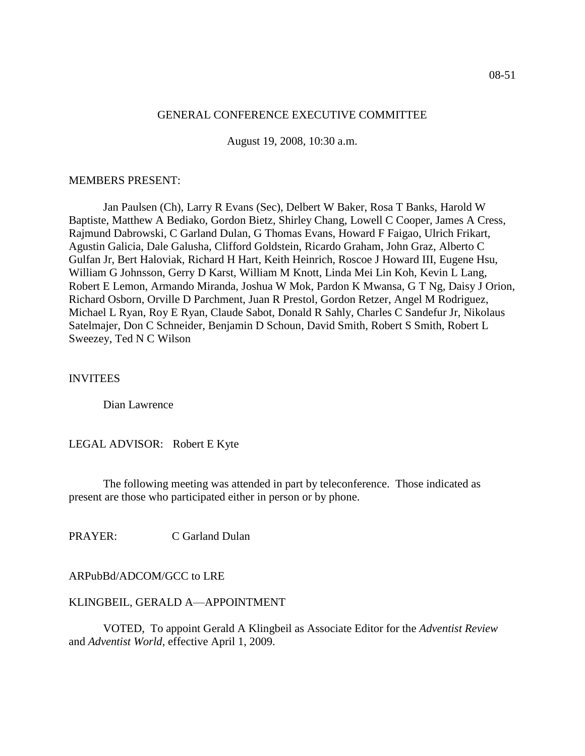## GENERAL CONFERENCE EXECUTIVE COMMITTEE

August 19, 2008, 10:30 a.m.

#### MEMBERS PRESENT:

Jan Paulsen (Ch), Larry R Evans (Sec), Delbert W Baker, Rosa T Banks, Harold W Baptiste, Matthew A Bediako, Gordon Bietz, Shirley Chang, Lowell C Cooper, James A Cress, Rajmund Dabrowski, C Garland Dulan, G Thomas Evans, Howard F Faigao, Ulrich Frikart, Agustin Galicia, Dale Galusha, Clifford Goldstein, Ricardo Graham, John Graz, Alberto C Gulfan Jr, Bert Haloviak, Richard H Hart, Keith Heinrich, Roscoe J Howard III, Eugene Hsu, William G Johnsson, Gerry D Karst, William M Knott, Linda Mei Lin Koh, Kevin L Lang, Robert E Lemon, Armando Miranda, Joshua W Mok, Pardon K Mwansa, G T Ng, Daisy J Orion, Richard Osborn, Orville D Parchment, Juan R Prestol, Gordon Retzer, Angel M Rodriguez, Michael L Ryan, Roy E Ryan, Claude Sabot, Donald R Sahly, Charles C Sandefur Jr, Nikolaus Satelmajer, Don C Schneider, Benjamin D Schoun, David Smith, Robert S Smith, Robert L Sweezey, Ted N C Wilson

#### **INVITEES**

Dian Lawrence

LEGAL ADVISOR: Robert E Kyte

The following meeting was attended in part by teleconference. Those indicated as present are those who participated either in person or by phone.

PRAYER: C Garland Dulan

## ARPubBd/ADCOM/GCC to LRE

#### KLINGBEIL, GERALD A—APPOINTMENT

VOTED, To appoint Gerald A Klingbeil as Associate Editor for the *Adventist Review* and *Adventist World*, effective April 1, 2009.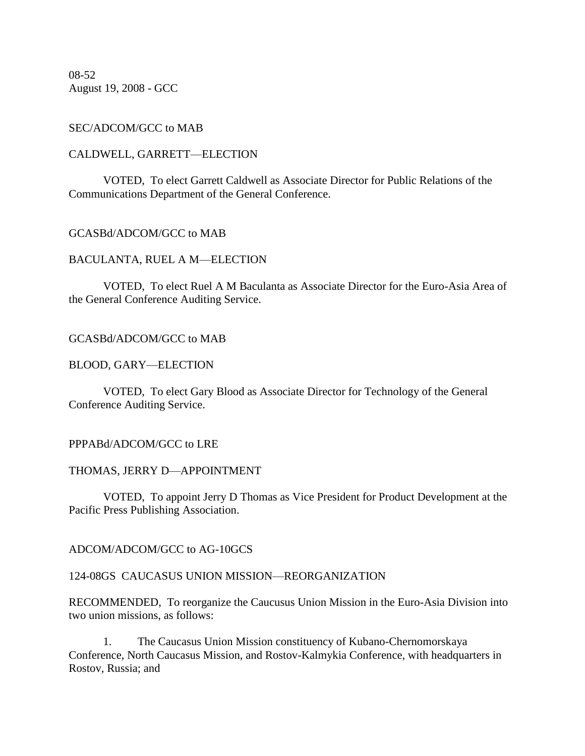08-52 August 19, 2008 - GCC

## SEC/ADCOM/GCC to MAB

## CALDWELL, GARRETT—ELECTION

VOTED, To elect Garrett Caldwell as Associate Director for Public Relations of the Communications Department of the General Conference.

## GCASBd/ADCOM/GCC to MAB

## BACULANTA, RUEL A M—ELECTION

VOTED, To elect Ruel A M Baculanta as Associate Director for the Euro-Asia Area of the General Conference Auditing Service.

## GCASBd/ADCOM/GCC to MAB

## BLOOD, GARY—ELECTION

VOTED, To elect Gary Blood as Associate Director for Technology of the General Conference Auditing Service.

## PPPABd/ADCOM/GCC to LRE

## THOMAS, JERRY D—APPOINTMENT

VOTED, To appoint Jerry D Thomas as Vice President for Product Development at the Pacific Press Publishing Association.

ADCOM/ADCOM/GCC to AG-10GCS

## 124-08GS CAUCASUS UNION MISSION—REORGANIZATION

RECOMMENDED, To reorganize the Caucusus Union Mission in the Euro-Asia Division into two union missions, as follows:

1. The Caucasus Union Mission constituency of Kubano-Chernomorskaya Conference, North Caucasus Mission, and Rostov-Kalmykia Conference, with headquarters in Rostov, Russia; and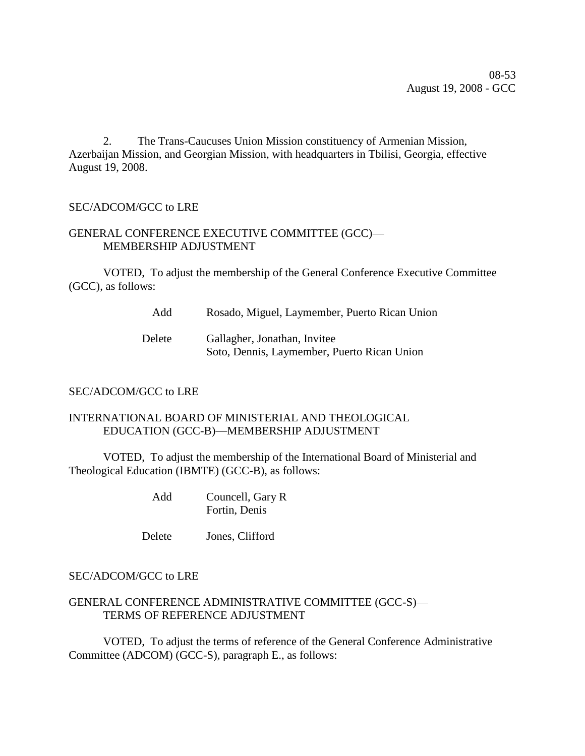08-53 August 19, 2008 - GCC

2. The Trans-Caucuses Union Mission constituency of Armenian Mission, Azerbaijan Mission, and Georgian Mission, with headquarters in Tbilisi, Georgia, effective August 19, 2008.

# SEC/ADCOM/GCC to LRE

# GENERAL CONFERENCE EXECUTIVE COMMITTEE (GCC)— MEMBERSHIP ADJUSTMENT

VOTED, To adjust the membership of the General Conference Executive Committee (GCC), as follows:

Add Rosado, Miguel, Laymember, Puerto Rican Union

Delete Gallagher, Jonathan, Invitee Soto, Dennis, Laymember, Puerto Rican Union

# SEC/ADCOM/GCC to LRE

# INTERNATIONAL BOARD OF MINISTERIAL AND THEOLOGICAL EDUCATION (GCC-B)—MEMBERSHIP ADJUSTMENT

VOTED, To adjust the membership of the International Board of Ministerial and Theological Education (IBMTE) (GCC-B), as follows:

> Add Councell, Gary R Fortin, Denis

Delete Jones, Clifford

# SEC/ADCOM/GCC to LRE

## GENERAL CONFERENCE ADMINISTRATIVE COMMITTEE (GCC-S)— TERMS OF REFERENCE ADJUSTMENT

VOTED, To adjust the terms of reference of the General Conference Administrative Committee (ADCOM) (GCC-S), paragraph E., as follows: